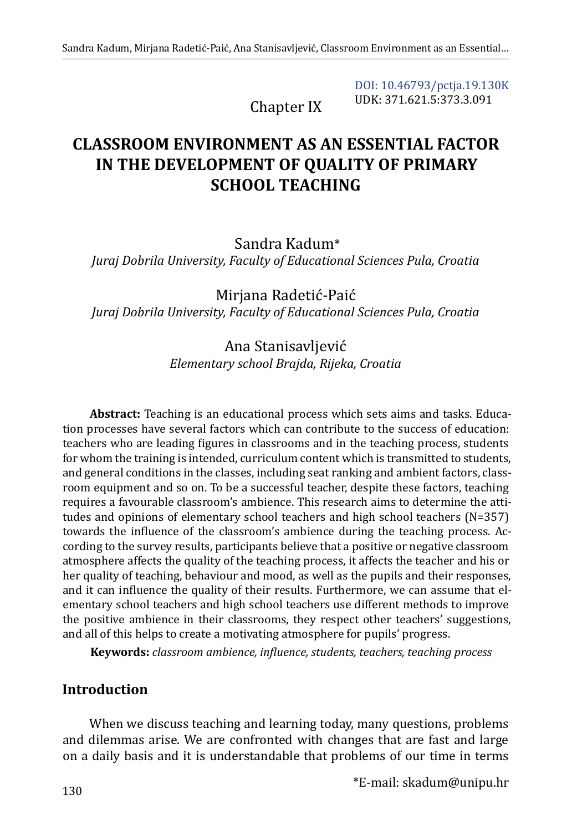Chapter IX

[DOI: 10.46793/pctja.19.130K](https://doi.org/10.46793/pctja.19.130K) UDK: 371.621.5:373.3.091

# **CLASSROOM ENVIRONMENT AS AN ESSENTIAL FACTOR IN THE DEVELOPMENT OF QUALITY OF PRIMARY SCHOOL TEACHING**

Sandra Kadum\*

*Juraj Dobrila University, Faculty of Educational Sciences Pula, Croatia*

Mirjana Radetić-Paić *Juraj Dobrila University, Faculty of Educational Sciences Pula, Croatia*

## Ana Stanisavljević *Elementary school Brajda, Rijeka, Croatia*

**Abstract:** Teaching is an educational process which sets aims and tasks. Education processes have several factors which can contribute to the success of education: teachers who are leading figures in classrooms and in the teaching process, students for whom the training is intended, curriculum content which is transmitted to students, and general conditions in the classes, including seat ranking and ambient factors, classroom equipment and so on. To be a successful teacher, despite these factors, teaching requires a favourable classroom's ambience. This research aims to determine the attitudes and opinions of elementary school teachers and high school teachers (N=357) towards the influence of the classroom's ambience during the teaching process. According to the survey results, participants believe that a positive or negative classroom atmosphere affects the quality of the teaching process, it affects the teacher and his or her quality of teaching, behaviour and mood, as well as the pupils and their responses, and it can influence the quality of their results. Furthermore, we can assume that elementary school teachers and high school teachers use different methods to improve the positive ambience in their classrooms, they respect other teachers' suggestions, and all of this helps to create a motivating atmosphere for pupils' progress.

**Keywords:** *classroom ambience, influence, students, teachers, teaching process*

## **Introduction**

When we discuss teaching and learning today, many questions, problems and dilemmas arise. We are confronted with changes that are fast and large on a daily basis and it is understandable that problems of our time in terms

\*E-mail: [skadum@unipu.hr](mailto:skadum@unipu.hr)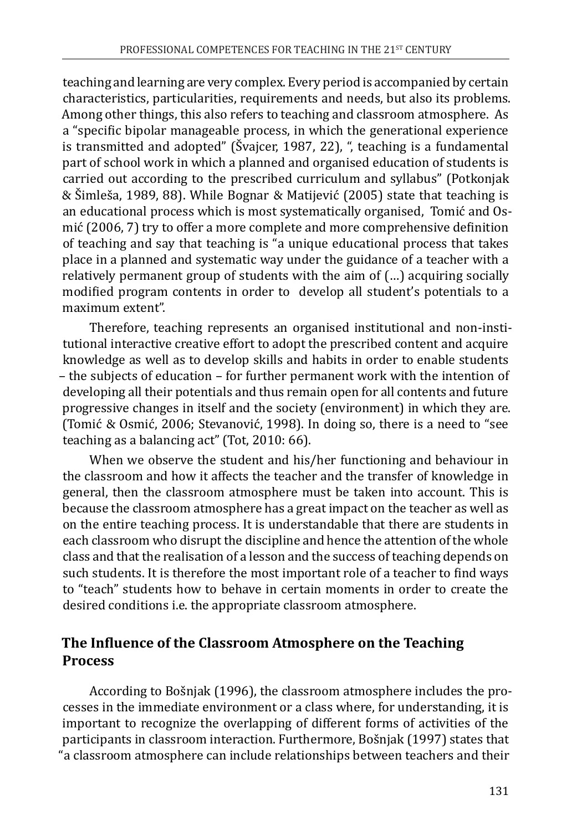teaching and learning are very complex. Every period is accompanied by certain characteristics, particularities, requirements and needs, but also its problems. Among other things, this also refers to teaching and classroom atmosphere. As a "specific bipolar manageable process, in which the generational experience is transmitted and adopted" (Švajcer, 1987, 22), ", teaching is a fundamental part of school work in which a planned and organised education of students is carried out according to the prescribed curriculum and syllabus" (Potkonjak & Šimleša, 1989, 88). While Bognar & Matijević (2005) state that teaching is an educational process which is most systematically organised, Tomić and Osmić (2006, 7) try to offer a more complete and more comprehensive definition of teaching and say that teaching is "a unique educational process that takes place in a planned and systematic way under the guidance of a teacher with a relatively permanent group of students with the aim of (…) acquiring socially modified program contents in order to develop all student's potentials to a maximum extent".

Therefore, teaching represents an organised institutional and non-institutional interactive creative effort to adopt the prescribed content and acquire knowledge as well as to develop skills and habits in order to enable students – the subjects of education – for further permanent work with the intention of developing all their potentials and thus remain open for all contents and future progressive changes in itself and the society (environment) in which they are. (Tomić & Osmić, 2006; Stevanović, 1998). In doing so, there is a need to "see teaching as a balancing act" (Tot, 2010: 66).

When we observe the student and his/her functioning and behaviour in the classroom and how it affects the teacher and the transfer of knowledge in general, then the classroom atmosphere must be taken into account. This is because the classroom atmosphere has a great impact on the teacher as well as on the entire teaching process. It is understandable that there are students in each classroom who disrupt the discipline and hence the attention of the whole class and that the realisation of a lesson and the success of teaching depends on such students. It is therefore the most important role of a teacher to find ways to "teach" students how to behave in certain moments in order to create the desired conditions i.e. the appropriate classroom atmosphere.

## **The Influence of the Classroom Atmosphere on the Teaching Process**

According to Bošnjak (1996), the classroom atmosphere includes the processes in the immediate environment or a class where, for understanding, it is important to recognize the overlapping of different forms of activities of the participants in classroom interaction. Furthermore, Bošnjak (1997) states that "a classroom atmosphere can include relationships between teachers and their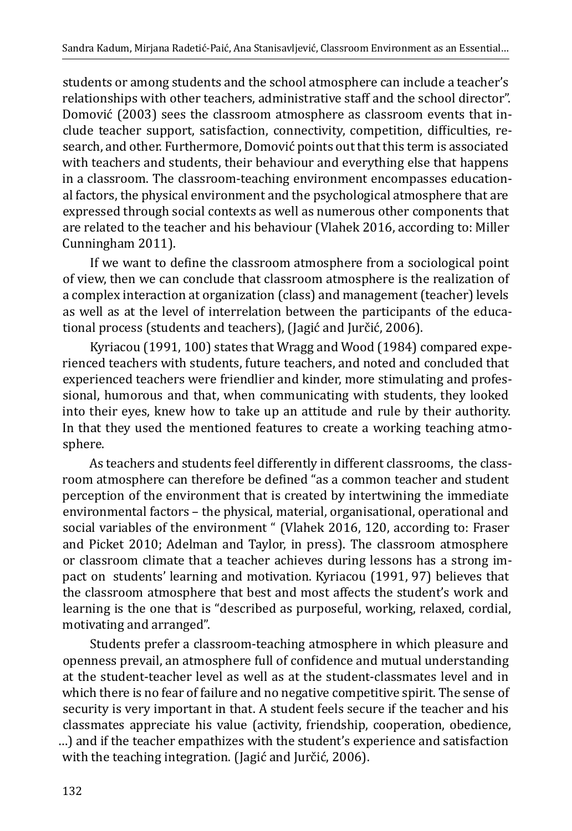students or among students and the school atmosphere can include a teacher's relationships with other teachers, administrative staff and the school director". Domović (2003) sees the classroom atmosphere as classroom events that include teacher support, satisfaction, connectivity, competition, difficulties, research, and other. Furthermore, Domović points out that this term is associated with teachers and students, their behaviour and everything else that happens in a classroom. The classroom-teaching environment encompasses educational factors, the physical environment and the psychological atmosphere that are expressed through social contexts as well as numerous other components that are related to the teacher and his behaviour (Vlahek 2016, according to: Miller Cunningham 2011).

If we want to define the classroom atmosphere from a sociological point of view, then we can conclude that classroom atmosphere is the realization of a complex interaction at organization (class) and management (teacher) levels as well as at the level of interrelation between the participants of the educational process (students and teachers), (Jagić and Jurčić, 2006).

Kyriacou (1991, 100) states that Wragg and Wood (1984) compared experienced teachers with students, future teachers, and noted and concluded that experienced teachers were friendlier and kinder, more stimulating and professional, humorous and that, when communicating with students, they looked into their eyes, knew how to take up an attitude and rule by their authority. In that they used the mentioned features to create a working teaching atmosphere.

As teachers and students feel differently in different classrooms, the classroom atmosphere can therefore be defined "as a common teacher and student perception of the environment that is created by intertwining the immediate environmental factors – the physical, material, organisational, operational and social variables of the environment " (Vlahek 2016, 120, according to: Fraser and Picket 2010; Adelman and Taylor, in press). The classroom atmosphere or classroom climate that a teacher achieves during lessons has a strong impact on students' learning and motivation. Kyriacou (1991, 97) believes that the classroom atmosphere that best and most affects the student's work and learning is the one that is "described as purposeful, working, relaxed, cordial, motivating and arranged".

Students prefer a classroom-teaching atmosphere in which pleasure and openness prevail, an atmosphere full of confidence and mutual understanding at the student-teacher level as well as at the student-classmates level and in which there is no fear of failure and no negative competitive spirit. The sense of security is very important in that. A student feels secure if the teacher and his classmates appreciate his value (activity, friendship, cooperation, obedience, …) and if the teacher empathizes with the student's experience and satisfaction with the teaching integration. (Jagić and Jurčić, 2006).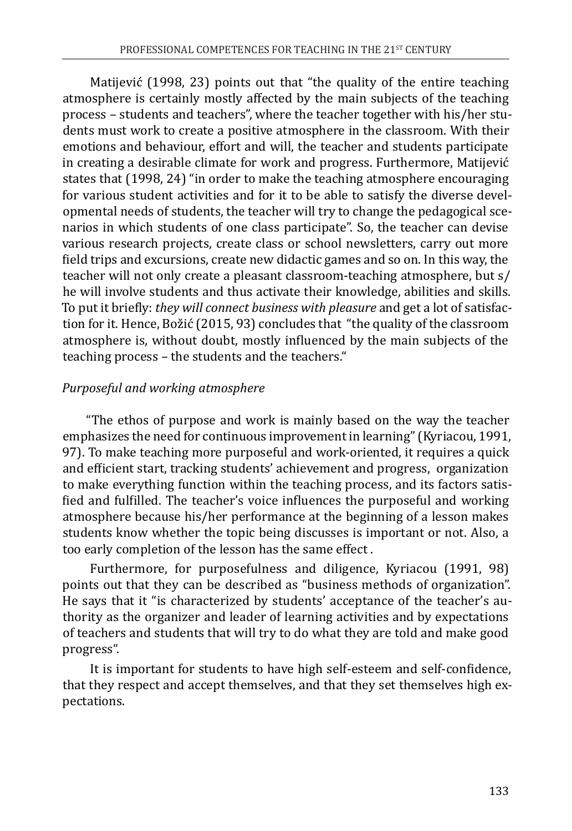Matijević (1998, 23) points out that "the quality of the entire teaching atmosphere is certainly mostly affected by the main subjects of the teaching process – students and teachers", where the teacher together with his/her students must work to create a positive atmosphere in the classroom. With their emotions and behaviour, effort and will, the teacher and students participate in creating a desirable climate for work and progress. Furthermore, Matijević states that (1998, 24) "in order to make the teaching atmosphere encouraging for various student activities and for it to be able to satisfy the diverse developmental needs of students, the teacher will try to change the pedagogical scenarios in which students of one class participate". So, the teacher can devise various research projects, create class or school newsletters, carry out more field trips and excursions, create new didactic games and so on. In this way, the teacher will not only create a pleasant classroom-teaching atmosphere, but s/ he will involve students and thus activate their knowledge, abilities and skills. To put it briefly: *they will connect business with pleasure* and get a lot of satisfaction for it. Hence, Božić (2015, 93) concludes that "the quality of the classroom atmosphere is, without doubt, mostly influenced by the main subjects of the teaching process – the students and the teachers."

### *Purposeful and working atmosphere*

"The ethos of purpose and work is mainly based on the way the teacher emphasizes the need for continuous improvement in learning" (Kyriacou, 1991, 97). To make teaching more purposeful and work-oriented, it requires a quick and efficient start, tracking students' achievement and progress, organization to make everything function within the teaching process, and its factors satisfied and fulfilled. The teacher's voice influences the purposeful and working atmosphere because his/her performance at the beginning of a lesson makes students know whether the topic being discusses is important or not. Also, a too early completion of the lesson has the same effect .

Furthermore, for purposefulness and diligence, Kyriacou (1991, 98) points out that they can be described as "business methods of organization". He says that it "is characterized by students' acceptance of the teacher's authority as the organizer and leader of learning activities and by expectations of teachers and students that will try to do what they are told and make good progress".

It is important for students to have high self-esteem and self-confidence, that they respect and accept themselves, and that they set themselves high expectations.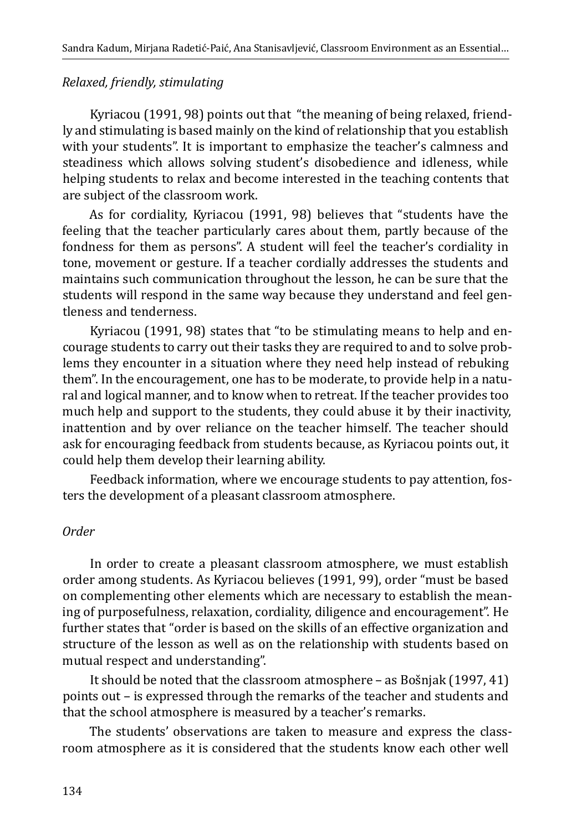### *Relaxed, friendly, stimulating*

Kyriacou (1991, 98) points out that "the meaning of being relaxed, friendly and stimulating is based mainly on the kind of relationship that you establish with your students". It is important to emphasize the teacher's calmness and steadiness which allows solving student's disobedience and idleness, while helping students to relax and become interested in the teaching contents that are subject of the classroom work.

As for cordiality, Kyriacou (1991, 98) believes that "students have the feeling that the teacher particularly cares about them, partly because of the fondness for them as persons". A student will feel the teacher's cordiality in tone, movement or gesture. If a teacher cordially addresses the students and maintains such communication throughout the lesson, he can be sure that the students will respond in the same way because they understand and feel gentleness and tenderness.

Kyriacou (1991, 98) states that "to be stimulating means to help and encourage students to carry out their tasks they are required to and to solve problems they encounter in a situation where they need help instead of rebuking them". In the encouragement, one has to be moderate, to provide help in a natural and logical manner, and to know when to retreat. If the teacher provides too much help and support to the students, they could abuse it by their inactivity, inattention and by over reliance on the teacher himself. The teacher should ask for encouraging feedback from students because, as Kyriacou points out, it could help them develop their learning ability.

Feedback information, where we encourage students to pay attention, fosters the development of a pleasant classroom atmosphere.

#### *Order*

In order to create a pleasant classroom atmosphere, we must establish order among students. As Kyriacou believes (1991, 99), order "must be based on complementing other elements which are necessary to establish the meaning of purposefulness, relaxation, cordiality, diligence and encouragement". He further states that "order is based on the skills of an effective organization and structure of the lesson as well as on the relationship with students based on mutual respect and understanding".

It should be noted that the classroom atmosphere – as Bošnjak (1997, 41) points out – is expressed through the remarks of the teacher and students and that the school atmosphere is measured by a teacher's remarks.

The students' observations are taken to measure and express the classroom atmosphere as it is considered that the students know each other well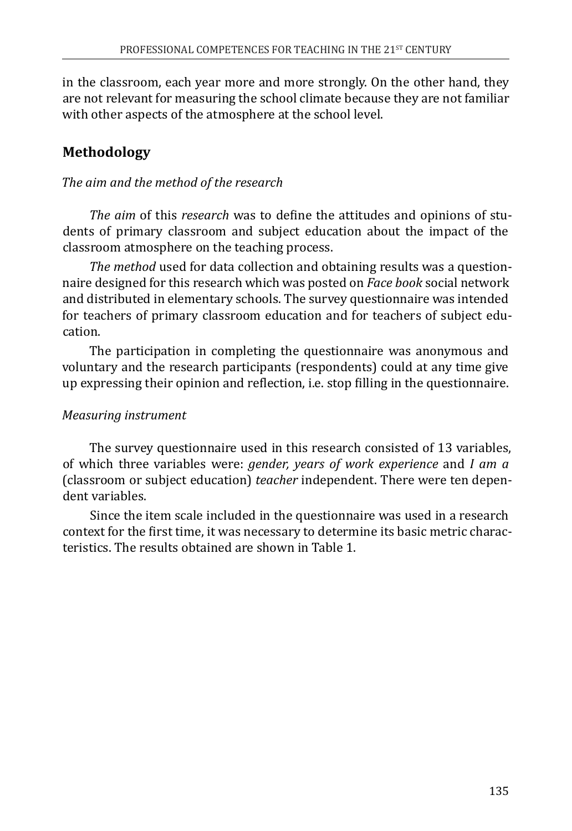in the classroom, each year more and more strongly. On the other hand, they are not relevant for measuring the school climate because they are not familiar with other aspects of the atmosphere at the school level.

# **Methodology**

### *The aim and the method of the research*

*The aim* of this *research* was to define the attitudes and opinions of students of primary classroom and subject education about the impact of the classroom atmosphere on the teaching process.

*The method* used for data collection and obtaining results was a questionnaire designed for this research which was posted on *Face book* social network and distributed in elementary schools. The survey questionnaire was intended for teachers of primary classroom education and for teachers of subject education.

The participation in completing the questionnaire was anonymous and voluntary and the research participants (respondents) could at any time give up expressing their opinion and reflection, i.e. stop filling in the questionnaire.

#### *Measuring instrument*

The survey questionnaire used in this research consisted of 13 variables, of which three variables were: *gender, years of work experience* and *I am a*  (classroom or subject education) *teacher* independent. There were ten dependent variables.

Since the item scale included in the questionnaire was used in a research context for the first time, it was necessary to determine its basic metric characteristics. The results obtained are shown in Table 1.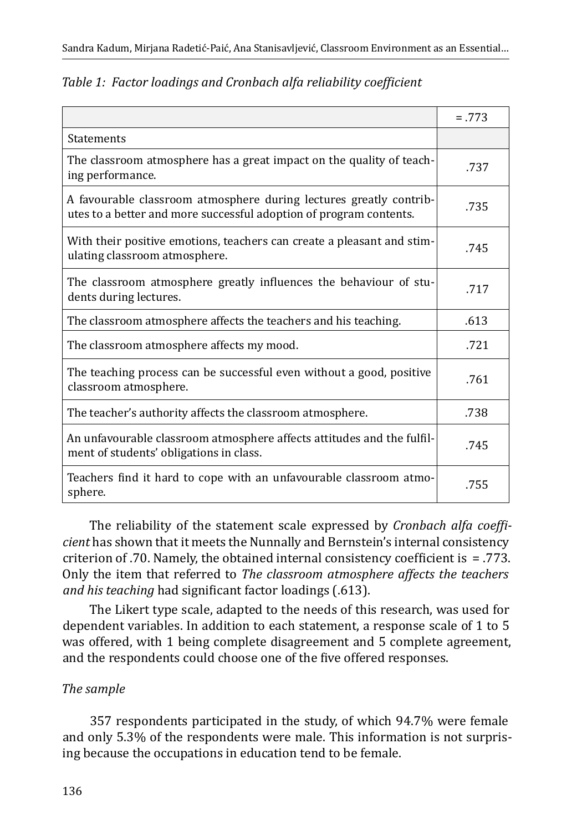|                                                                                                                                          | $=.773$ |
|------------------------------------------------------------------------------------------------------------------------------------------|---------|
| <b>Statements</b>                                                                                                                        |         |
| The classroom atmosphere has a great impact on the quality of teach-<br>ing performance.                                                 | .737    |
| A favourable classroom atmosphere during lectures greatly contrib-<br>utes to a better and more successful adoption of program contents. | .735    |
| With their positive emotions, teachers can create a pleasant and stim-<br>ulating classroom atmosphere.                                  | .745    |
| The classroom atmosphere greatly influences the behaviour of stu-<br>dents during lectures.                                              | .717    |
| The classroom atmosphere affects the teachers and his teaching.                                                                          | .613    |
| The classroom atmosphere affects my mood.                                                                                                | .721    |
| The teaching process can be successful even without a good, positive<br>classroom atmosphere.                                            | .761    |
| The teacher's authority affects the classroom atmosphere.                                                                                | .738    |
| An unfavourable classroom atmosphere affects attitudes and the fulfil-<br>ment of students' obligations in class.                        | .745    |
| Teachers find it hard to cope with an unfavourable classroom atmo-<br>sphere.                                                            | .755    |

*Table 1: Factor loadings and Cronbach alfa reliability coefficient*

The reliability of the statement scale expressed by *Cronbach alfa coefficient* has shown that it meets the Nunnally and Bernstein's internal consistency criterion of .70. Namely, the obtained internal consistency coefficient is  $= .773$ . Only the item that referred to *The classroom atmosphere affects the teachers and his teaching* had significant factor loadings (.613).

The Likert type scale, adapted to the needs of this research, was used for dependent variables. In addition to each statement, a response scale of 1 to 5 was offered, with 1 being complete disagreement and 5 complete agreement, and the respondents could choose one of the five offered responses.

## *The sample*

357 respondents participated in the study, of which 94.7% were female and only 5.3% of the respondents were male. This information is not surprising because the occupations in education tend to be female.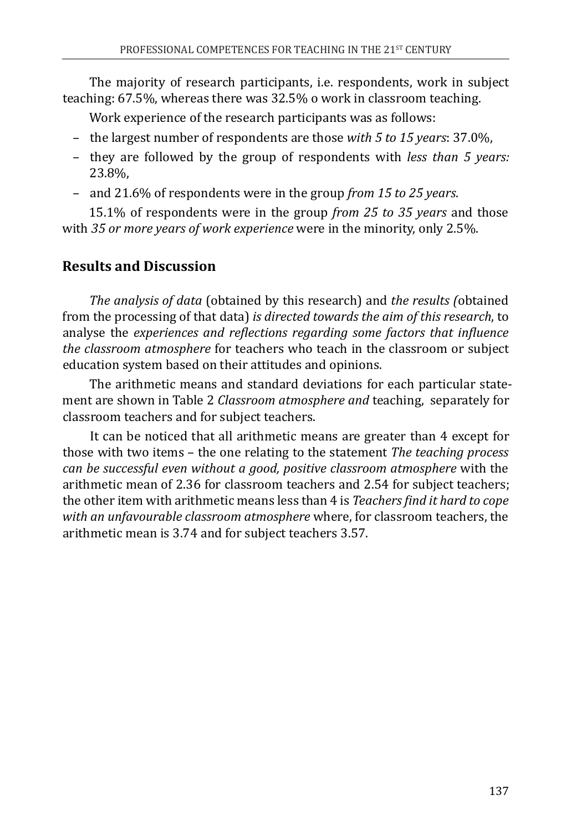The majority of research participants, i.e. respondents, work in subject teaching: 67.5%, whereas there was 32.5% o work in classroom teaching.

Work experience of the research participants was as follows:

- the largest number of respondents are those *with 5 to 15 years*: 37.0%,
- they are followed by the group of respondents with *less than 5 years:*  23.8%,
- and 21.6% of respondents were in the group *from 15 to 25 years*.

15.1% of respondents were in the group *from 25 to 35 years* and those with *35 or more years of work experience* were in the minority, only 2.5%.

## **Results and Discussion**

*The analysis of data* (obtained by this research) and *the results (*obtained from the processing of that data) *is directed towards the aim of this research*, to analyse the *experiences and reflections regarding some factors that influence the classroom atmosphere* for teachers who teach in the classroom or subject education system based on their attitudes and opinions.

The arithmetic means and standard deviations for each particular statement are shown in Table 2 *Classroom atmosphere and* teaching, separately for classroom teachers and for subject teachers.

It can be noticed that all arithmetic means are greater than 4 except for those with two items – the one relating to the statement *The teaching process can be successful even without a good, positive classroom atmosphere* with the arithmetic mean of 2.36 for classroom teachers and 2.54 for subject teachers; the other item with arithmetic means less than 4 is *Teachers find it hard to cope with an unfavourable classroom atmosphere* where, for classroom teachers, the arithmetic mean is 3.74 and for subject teachers 3.57.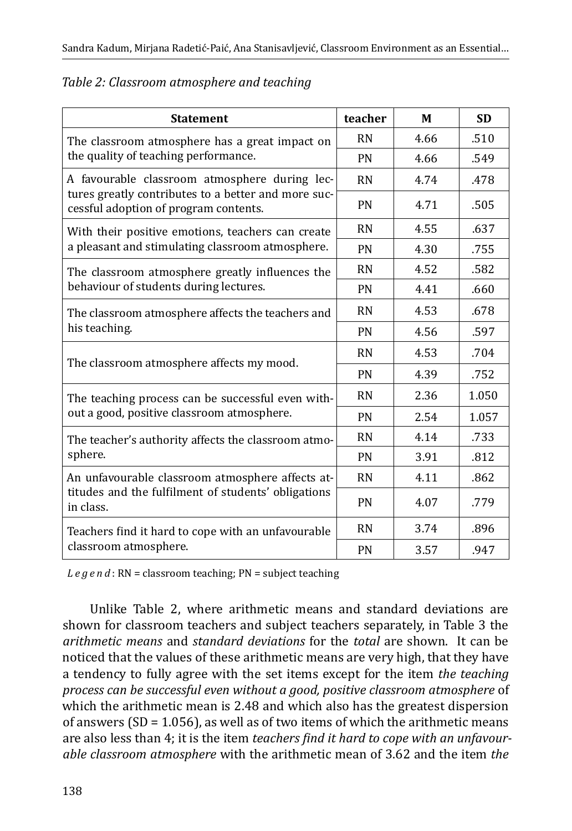| <b>Statement</b>                                                                                                                              | teacher   | M    | <b>SD</b> |
|-----------------------------------------------------------------------------------------------------------------------------------------------|-----------|------|-----------|
| The classroom atmosphere has a great impact on<br>the quality of teaching performance.                                                        | <b>RN</b> | 4.66 | .510      |
|                                                                                                                                               | PN        | 4.66 | .549      |
| A favourable classroom atmosphere during lec-<br>tures greatly contributes to a better and more suc-<br>cessful adoption of program contents. | <b>RN</b> | 4.74 | .478      |
|                                                                                                                                               | <b>PN</b> | 4.71 | .505      |
| <b>RN</b><br>With their positive emotions, teachers can create                                                                                |           | 4.55 | .637      |
| a pleasant and stimulating classroom atmosphere.                                                                                              | <b>PN</b> | 4.30 | .755      |
| <b>RN</b><br>The classroom atmosphere greatly influences the<br>behaviour of students during lectures.<br><b>PN</b>                           |           | 4.52 | .582      |
|                                                                                                                                               |           | 4.41 | .660      |
| The classroom atmosphere affects the teachers and<br>his teaching.                                                                            | <b>RN</b> | 4.53 | .678      |
|                                                                                                                                               | <b>PN</b> | 4.56 | .597      |
| <b>RN</b><br>The classroom atmosphere affects my mood.<br>PN                                                                                  |           | 4.53 | .704      |
|                                                                                                                                               |           | 4.39 | .752      |
| The teaching process can be successful even with-                                                                                             | <b>RN</b> | 2.36 | 1.050     |
| out a good, positive classroom atmosphere.                                                                                                    | PN        | 2.54 | 1.057     |
| The teacher's authority affects the classroom atmo-<br>sphere.                                                                                | <b>RN</b> | 4.14 | .733      |
|                                                                                                                                               | <b>PN</b> | 3.91 | .812      |
| An unfavourable classroom atmosphere affects at-<br>titudes and the fulfilment of students' obligations<br>in class.                          | <b>RN</b> | 4.11 | .862      |
|                                                                                                                                               | PN        | 4.07 | .779      |
| <b>RN</b><br>Teachers find it hard to cope with an unfavourable<br>classroom atmosphere.<br><b>PN</b>                                         |           | 3.74 | .896      |
|                                                                                                                                               |           | 3.57 | .947      |

#### *Table 2: Classroom atmosphere and teaching*

*Legend* : RN = classroom teaching; PN = subject teaching

Unlike Table 2, where arithmetic means and standard deviations are shown for classroom teachers and subject teachers separately, in Table 3 the *arithmetic means* and *standard deviations* for the *total* are shown. It can be noticed that the values of these arithmetic means are very high, that they have a tendency to fully agree with the set items except for the item *the teaching process can be successful even without a good, positive classroom atmosphere* of which the arithmetic mean is 2.48 and which also has the greatest dispersion of answers ( $SD = 1.056$ ), as well as of two items of which the arithmetic means are also less than 4; it is the item *teachers find it hard to cope with an unfavourable classroom atmosphere* with the arithmetic mean of 3.62 and the item *the*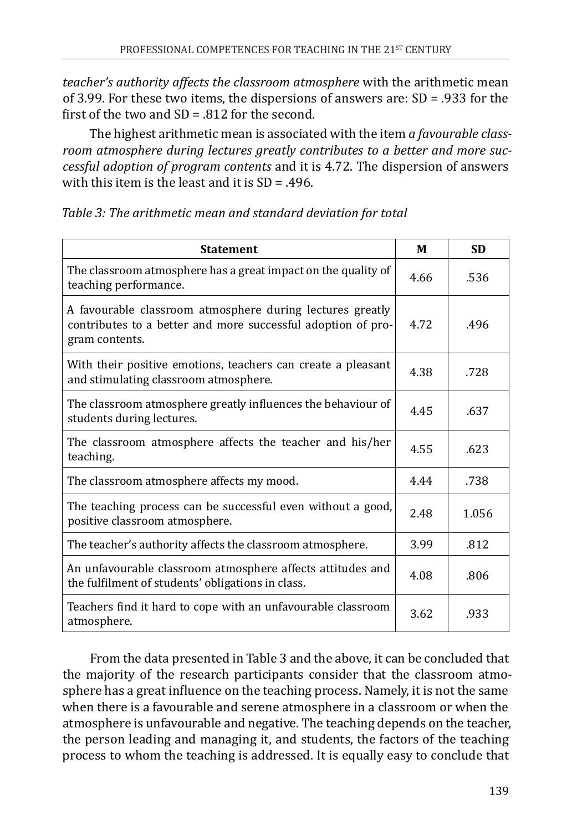*teacher's authority affects the classroom atmosphere* with the arithmetic mean of 3.99. For these two items, the dispersions of answers are: SD = .933 for the first of the two and  $SD = .812$  for the second.

The highest arithmetic mean is associated with the item *a favourable classroom atmosphere during lectures greatly contributes to a better and more successful adoption of program contents* and it is 4.72. The dispersion of answers with this item is the least and it is SD = .496.

| <b>Statement</b>                                                                                                                            | М    | <b>SD</b> |
|---------------------------------------------------------------------------------------------------------------------------------------------|------|-----------|
| The classroom atmosphere has a great impact on the quality of<br>teaching performance.                                                      | 4.66 | .536      |
| A favourable classroom atmosphere during lectures greatly<br>contributes to a better and more successful adoption of pro-<br>gram contents. | 4.72 | .496      |
| With their positive emotions, teachers can create a pleasant<br>and stimulating classroom atmosphere.                                       | 4.38 | .728      |
| The classroom atmosphere greatly influences the behaviour of<br>students during lectures.                                                   | 4.45 | .637      |
| The classroom atmosphere affects the teacher and his/her<br>teaching.                                                                       | 4.55 | .623      |
| The classroom atmosphere affects my mood.                                                                                                   | 4.44 | .738      |
| The teaching process can be successful even without a good,<br>positive classroom atmosphere.                                               | 2.48 | 1.056     |
| The teacher's authority affects the classroom atmosphere.                                                                                   | 3.99 | .812      |
| An unfavourable classroom atmosphere affects attitudes and<br>the fulfilment of students' obligations in class.                             | 4.08 | .806      |
| Teachers find it hard to cope with an unfavourable classroom<br>atmosphere.                                                                 | 3.62 | .933      |

From the data presented in Table 3 and the above, it can be concluded that the majority of the research participants consider that the classroom atmosphere has a great influence on the teaching process. Namely, it is not the same when there is a favourable and serene atmosphere in a classroom or when the atmosphere is unfavourable and negative. The teaching depends on the teacher, the person leading and managing it, and students, the factors of the teaching process to whom the teaching is addressed. It is equally easy to conclude that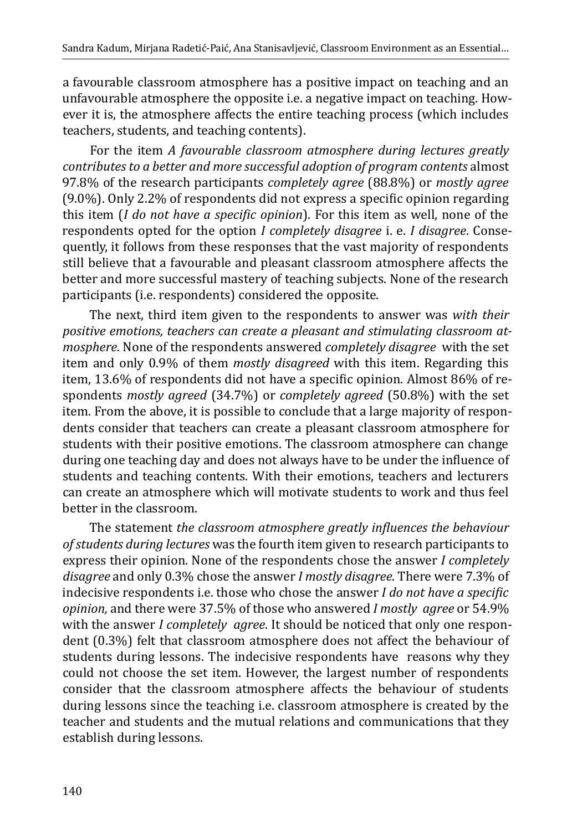a favourable classroom atmosphere has a positive impact on teaching and an unfavourable atmosphere the opposite i.e. a negative impact on teaching. However it is, the atmosphere affects the entire teaching process (which includes teachers, students, and teaching contents).

For the item *A favourable classroom atmosphere during lectures greatly contributes to a better and more successful adoption of program contents* almost 97.8% of the research participants *completely agree* (88.8%) or *mostly agree* (9.0%). Only 2.2% of respondents did not express a specific opinion regarding this item (*I do not have a specific opinion*). For this item as well, none of the respondents opted for the option *I completely disagree* i. e. *I disagree*. Consequently, it follows from these responses that the vast majority of respondents still believe that a favourable and pleasant classroom atmosphere affects the better and more successful mastery of teaching subjects. None of the research participants (i.e. respondents) considered the opposite.

The next, third item given to the respondents to answer was *with their positive emotions, teachers can create a pleasant and stimulating classroom atmosphere*. None of the respondents answered *completely disagree* with the set item and only 0.9% of them *mostly disagreed* with this item. Regarding this item, 13.6% of respondents did not have a specific opinion. Almost 86% of respondents *mostly agreed* (34.7%) or *completely agreed* (50.8%) with the set item. From the above, it is possible to conclude that a large majority of respondents consider that teachers can create a pleasant classroom atmosphere for students with their positive emotions. The classroom atmosphere can change during one teaching day and does not always have to be under the influence of students and teaching contents. With their emotions, teachers and lecturers can create an atmosphere which will motivate students to work and thus feel better in the classroom.

The statement *the classroom atmosphere greatly influences the behaviour of students during lectures* was the fourth item given to research participants to express their opinion. None of the respondents chose the answer *I completely disagree* and only 0.3% chose the answer *I mostly disagree*. There were 7.3% of indecisive respondents i.e. those who chose the answer *I do not have a specific opinion,* and there were 37.5% of those who answered *I mostly agree* or 54.9% with the answer *I completely agree*. It should be noticed that only one respondent (0.3%) felt that classroom atmosphere does not affect the behaviour of students during lessons. The indecisive respondents have reasons why they could not choose the set item. However, the largest number of respondents consider that the classroom atmosphere affects the behaviour of students during lessons since the teaching i.e. classroom atmosphere is created by the teacher and students and the mutual relations and communications that they establish during lessons.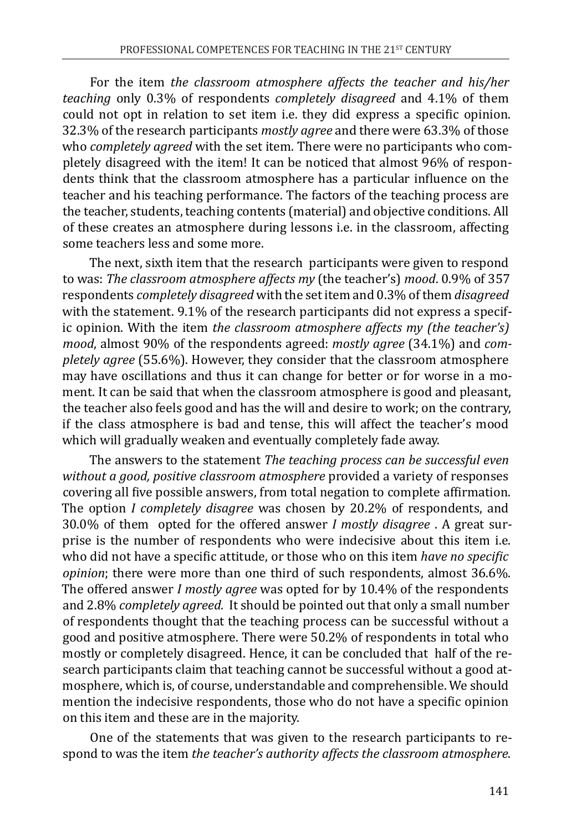For the item *the classroom atmosphere affects the teacher and his/her teaching* only 0.3% of respondents *completely disagreed* and 4.1% of them could not opt in relation to set item i.e. they did express a specific opinion. 32.3% of the research participants *mostly agree* and there were 63.3% of those who *completely agreed* with the set item. There were no participants who completely disagreed with the item! It can be noticed that almost 96% of respondents think that the classroom atmosphere has a particular influence on the teacher and his teaching performance. The factors of the teaching process are the teacher, students, teaching contents (material) and objective conditions. All of these creates an atmosphere during lessons i.e. in the classroom, affecting some teachers less and some more.

The next, sixth item that the research participants were given to respond to was: *The classroom atmosphere affects my* (the teacher's) *mood*. 0.9% of 357 respondents *completely disagreed* with the set item and 0.3% of them *disagreed*  with the statement. 9.1% of the research participants did not express a specific opinion. With the item *the classroom atmosphere affects my (the teacher's) mood*, almost 90% of the respondents agreed: *mostly agree* (34.1%) and *completely agree* (55.6%). However, they consider that the classroom atmosphere may have oscillations and thus it can change for better or for worse in a moment. It can be said that when the classroom atmosphere is good and pleasant, the teacher also feels good and has the will and desire to work; on the contrary, if the class atmosphere is bad and tense, this will affect the teacher's mood which will gradually weaken and eventually completely fade away.

The answers to the statement *The teaching process can be successful even without a good, positive classroom atmosphere* provided a variety of responses covering all five possible answers, from total negation to complete affirmation. The option *I completely disagree* was chosen by 20.2% of respondents, and 30.0% of them opted for the offered answer *I mostly disagree* . A great surprise is the number of respondents who were indecisive about this item i.e. who did not have a specific attitude, or those who on this item *have no specific opinion*; there were more than one third of such respondents, almost 36.6%. The offered answer *I mostly agree* was opted for by 10.4% of the respondents and 2.8% *completely agreed.* It should be pointed out that only a small number of respondents thought that the teaching process can be successful without a good and positive atmosphere. There were 50.2% of respondents in total who mostly or completely disagreed. Hence, it can be concluded that half of the research participants claim that teaching cannot be successful without a good atmosphere, which is, of course, understandable and comprehensible. We should mention the indecisive respondents, those who do not have a specific opinion on this item and these are in the majority.

One of the statements that was given to the research participants to respond to was the item *the teacher's authority affects the classroom atmosphere*.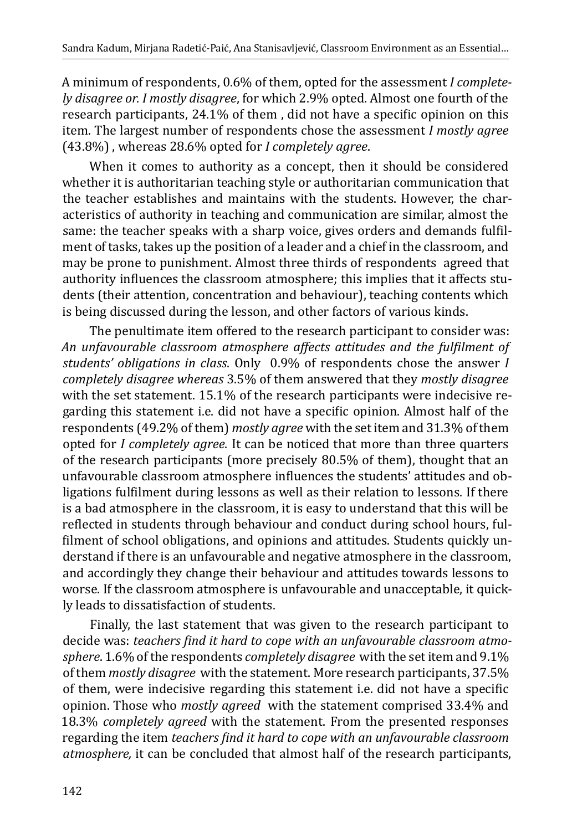A minimum of respondents, 0.6% of them, opted for the assessment *I completely disagree or. I mostly disagree*, for which 2.9% opted. Almost one fourth of the research participants, 24.1% of them , did not have a specific opinion on this item. The largest number of respondents chose the assessment *I mostly agree* (43.8%) , whereas 28.6% opted for *I completely agree*.

When it comes to authority as a concept, then it should be considered whether it is authoritarian teaching style or authoritarian communication that the teacher establishes and maintains with the students. However, the characteristics of authority in teaching and communication are similar, almost the same: the teacher speaks with a sharp voice, gives orders and demands fulfilment of tasks, takes up the position of a leader and a chief in the classroom, and may be prone to punishment. Almost three thirds of respondents agreed that authority influences the classroom atmosphere; this implies that it affects students (their attention, concentration and behaviour), teaching contents which is being discussed during the lesson, and other factors of various kinds.

The penultimate item offered to the research participant to consider was: *An unfavourable classroom atmosphere affects attitudes and the fulfilment of students' obligations in class*. Only 0.9% of respondents chose the answer *I completely disagree whereas* 3.5% of them answered that they *mostly disagree*  with the set statement. 15.1% of the research participants were indecisive regarding this statement i.e. did not have a specific opinion. Almost half of the respondents (49.2% of them) *mostly agree* with the set item and 31.3% of them opted for *I completely agree*. It can be noticed that more than three quarters of the research participants (more precisely 80.5% of them), thought that an unfavourable classroom atmosphere influences the students' attitudes and obligations fulfilment during lessons as well as their relation to lessons. If there is a bad atmosphere in the classroom, it is easy to understand that this will be reflected in students through behaviour and conduct during school hours, fulfilment of school obligations, and opinions and attitudes. Students quickly understand if there is an unfavourable and negative atmosphere in the classroom, and accordingly they change their behaviour and attitudes towards lessons to worse. If the classroom atmosphere is unfavourable and unacceptable, it quickly leads to dissatisfaction of students.

Finally, the last statement that was given to the research participant to decide was: *teachers find it hard to cope with an unfavourable classroom atmosphere*. 1.6% of the respondents *completely disagree* with the set item and 9.1% of them *mostly disagree* with the statement. More research participants, 37.5% of them, were indecisive regarding this statement i.e. did not have a specific opinion. Those who *mostly agreed* with the statement comprised 33.4% and 18.3% *completely agreed* with the statement. From the presented responses regarding the item *teachers find it hard to cope with an unfavourable classroom atmosphere,* it can be concluded that almost half of the research participants,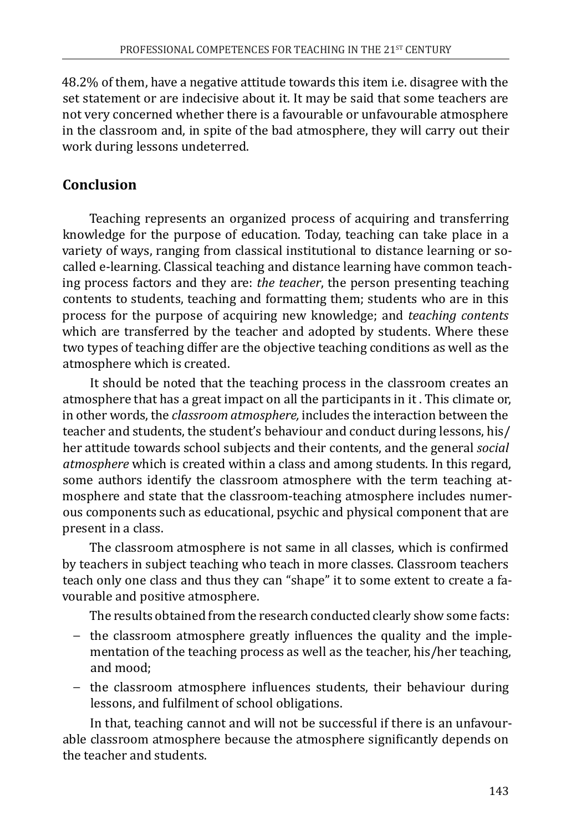48.2% of them, have a negative attitude towards this item i.e. disagree with the set statement or are indecisive about it. It may be said that some teachers are not very concerned whether there is a favourable or unfavourable atmosphere in the classroom and, in spite of the bad atmosphere, they will carry out their work during lessons undeterred.

# **Conclusion**

Teaching represents an organized process of acquiring and transferring knowledge for the purpose of education. Today, teaching can take place in a variety of ways, ranging from classical institutional to distance learning or socalled e-learning. Classical teaching and distance learning have common teaching process factors and they are: *the teacher*, the person presenting teaching contents to students, teaching and formatting them; students who are in this process for the purpose of acquiring new knowledge; and *teaching contents*  which are transferred by the teacher and adopted by students. Where these two types of teaching differ are the objective teaching conditions as well as the atmosphere which is created.

It should be noted that the teaching process in the classroom creates an atmosphere that has a great impact on all the participants in it . This climate or, in other words, the *classroom atmosphere,* includes the interaction between the teacher and students, the student's behaviour and conduct during lessons, his/ her attitude towards school subjects and their contents, and the general *social atmosphere* which is created within a class and among students. In this regard, some authors identify the classroom atmosphere with the term teaching atmosphere and state that the classroom-teaching atmosphere includes numerous components such as educational, psychic and physical component that are present in a class.

The classroom atmosphere is not same in all classes, which is confirmed by teachers in subject teaching who teach in more classes. Classroom teachers teach only one class and thus they can "shape" it to some extent to create a favourable and positive atmosphere.

The results obtained from the research conducted clearly show some facts:

- − the classroom atmosphere greatly influences the quality and the implementation of the teaching process as well as the teacher, his/her teaching, and mood;
- − the classroom atmosphere influences students, their behaviour during lessons, and fulfilment of school obligations.

In that, teaching cannot and will not be successful if there is an unfavourable classroom atmosphere because the atmosphere significantly depends on the teacher and students.